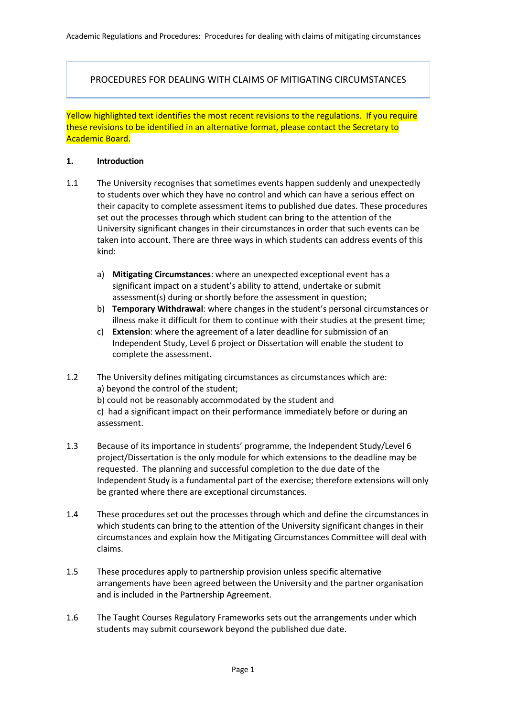PROCEDURES FOR DEALING WITH CLAIMS OF MITIGATING CIRCUMSTANCES

Yellow highlighted text identifies the most recent revisions to the regulations. If you require these revisions to be identified in an alternative format, please contact the Secretary to Academic Board.

#### **1. Introduction**

- 1.1 The University recognises that sometimes events happen suddenly and unexpectedly to students over which they have no control and which can have a serious effect on their capacity to complete assessment items to published due dates. These procedures set out the processes through which student can bring to the attention of the University significant changes in their circumstances in order that such events can be taken into account. There are three ways in which students can address events of this kind:
	- a) **Mitigating Circumstances**: where an unexpected exceptional event has a significant impact on a student's ability to attend, undertake or submit assessment(s) during or shortly before the assessment in question;
	- b) **Temporary Withdrawal**: where changes in the student's personal circumstances or illness make it difficult for them to continue with their studies at the present time;
	- c) **Extension**: where the agreement of a later deadline for submission of an Independent Study, Level 6 project or Dissertation will enable the student to complete the assessment.
- 1.2 The University defines mitigating circumstances as circumstances which are: a) beyond the control of the student;
	- b) could not be reasonably accommodated by the student and
	- c) had a significant impact on their performance immediately before or during an assessment.
- 1.3 Because of its importance in students' programme, the Independent Study/Level 6 project/Dissertation is the only module for which extensions to the deadline may be requested. The planning and successful completion to the due date of the Independent Study is a fundamental part of the exercise; therefore extensions will only be granted where there are exceptional circumstances.
- 1.4 These procedures set out the processes through which and define the circumstances in which students can bring to the attention of the University significant changes in their circumstances and explain how the Mitigating Circumstances Committee will deal with claims.
- 1.5 These procedures apply to partnership provision unless specific alternative arrangements have been agreed between the University and the partner organisation and is included in the Partnership Agreement.
- 1.6 The Taught Courses Regulatory Frameworks sets out the arrangements under which students may submit coursework beyond the published due date.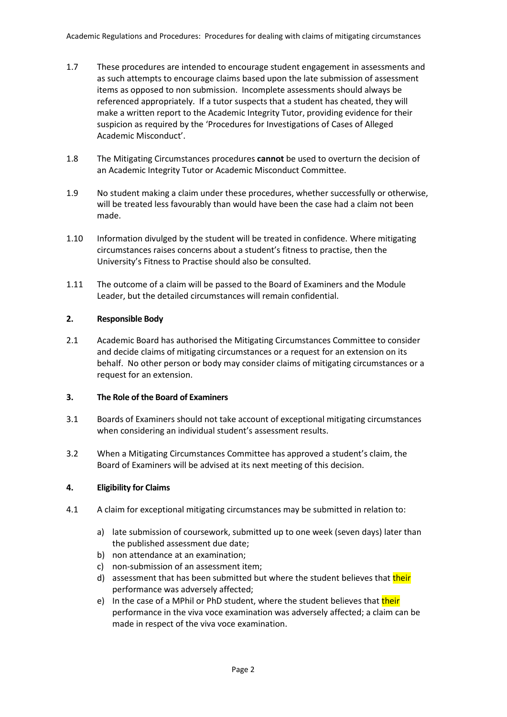- 1.7 These procedures are intended to encourage student engagement in assessments and as such attempts to encourage claims based upon the late submission of assessment items as opposed to non submission. Incomplete assessments should always be referenced appropriately. If a tutor suspects that a student has cheated, they will make a written report to the Academic Integrity Tutor, providing evidence for their suspicion as required by the 'Procedures for Investigations of Cases of Alleged Academic Misconduct'.
- 1.8 The Mitigating Circumstances procedures **cannot** be used to overturn the decision of an Academic Integrity Tutor or Academic Misconduct Committee.
- 1.9 No student making a claim under these procedures, whether successfully or otherwise, will be treated less favourably than would have been the case had a claim not been made.
- 1.10 Information divulged by the student will be treated in confidence. Where mitigating circumstances raises concerns about a student's fitness to practise, then the University's Fitness to Practise should also be consulted.
- 1.11 The outcome of a claim will be passed to the Board of Examiners and the Module Leader, but the detailed circumstances will remain confidential.

# **2. Responsible Body**

2.1 Academic Board has authorised the Mitigating Circumstances Committee to consider and decide claims of mitigating circumstances or a request for an extension on its behalf. No other person or body may consider claims of mitigating circumstances or a request for an extension.

# **3. The Role of the Board of Examiners**

- 3.1 Boards of Examiners should not take account of exceptional mitigating circumstances when considering an individual student's assessment results.
- 3.2 When a Mitigating Circumstances Committee has approved a student's claim, the Board of Examiners will be advised at its next meeting of this decision.

# **4. Eligibility for Claims**

- 4.1 A claim for exceptional mitigating circumstances may be submitted in relation to:
	- a) late submission of coursework, submitted up to one week (seven days) later than the published assessment due date;
	- b) non attendance at an examination;
	- c) non-submission of an assessment item;
	- d) assessment that has been submitted but where the student believes that their performance was adversely affected;
	- e) In the case of a MPhil or PhD student, where the student believes that their performance in the viva voce examination was adversely affected; a claim can be made in respect of the viva voce examination.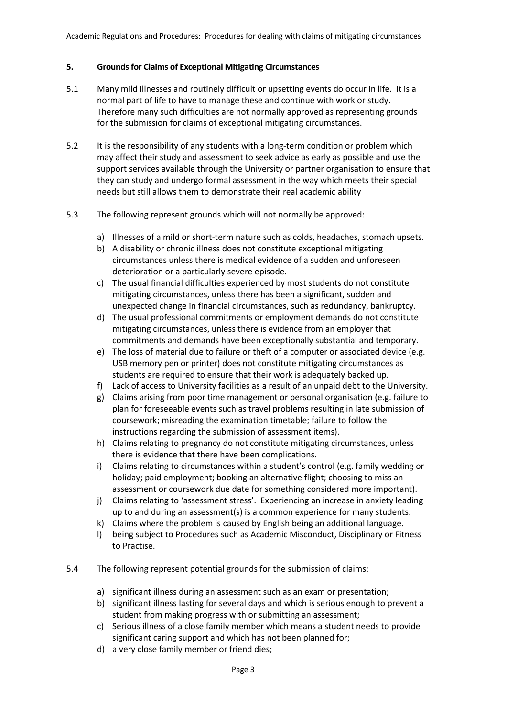# **5. Grounds for Claims of Exceptional Mitigating Circumstances**

- 5.1 Many mild illnesses and routinely difficult or upsetting events do occur in life. It is a normal part of life to have to manage these and continue with work or study. Therefore many such difficulties are not normally approved as representing grounds for the submission for claims of exceptional mitigating circumstances.
- 5.2 It is the responsibility of any students with a long-term condition or problem which may affect their study and assessment to seek advice as early as possible and use the support services available through the University or partner organisation to ensure that they can study and undergo formal assessment in the way which meets their special needs but still allows them to demonstrate their real academic ability
- 5.3 The following represent grounds which will not normally be approved:
	- a) Illnesses of a mild or short-term nature such as colds, headaches, stomach upsets.
	- b) A disability or chronic illness does not constitute exceptional mitigating circumstances unless there is medical evidence of a sudden and unforeseen deterioration or a particularly severe episode.
	- c) The usual financial difficulties experienced by most students do not constitute mitigating circumstances, unless there has been a significant, sudden and unexpected change in financial circumstances, such as redundancy, bankruptcy.
	- d) The usual professional commitments or employment demands do not constitute mitigating circumstances, unless there is evidence from an employer that commitments and demands have been exceptionally substantial and temporary.
	- e) The loss of material due to failure or theft of a computer or associated device (e.g. USB memory pen or printer) does not constitute mitigating circumstances as students are required to ensure that their work is adequately backed up.
	- f) Lack of access to University facilities as a result of an unpaid debt to the University.
	- g) Claims arising from poor time management or personal organisation (e.g. failure to plan for foreseeable events such as travel problems resulting in late submission of coursework; misreading the examination timetable; failure to follow the instructions regarding the submission of assessment items).
	- h) Claims relating to pregnancy do not constitute mitigating circumstances, unless there is evidence that there have been complications.
	- i) Claims relating to circumstances within a student's control (e.g. family wedding or holiday; paid employment; booking an alternative flight; choosing to miss an assessment or coursework due date for something considered more important).
	- j) Claims relating to 'assessment stress'. Experiencing an increase in anxiety leading up to and during an assessment(s) is a common experience for many students.
	- k) Claims where the problem is caused by English being an additional language.
	- l) being subject to Procedures such as Academic Misconduct, Disciplinary or Fitness to Practise.
- 5.4 The following represent potential grounds for the submission of claims:
	- a) significant illness during an assessment such as an exam or presentation;
	- b) significant illness lasting for several days and which is serious enough to prevent a student from making progress with or submitting an assessment;
	- c) Serious illness of a close family member which means a student needs to provide significant caring support and which has not been planned for;
	- d) a very close family member or friend dies;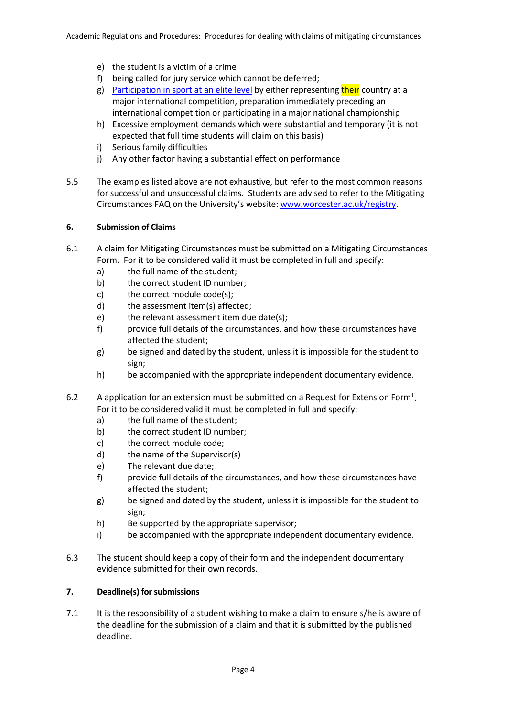- e) the student is a victim of a crime
- f) being called for jury service which cannot be deferred;
- g) [Participation in sport at an elite level](https://www2.worc.ac.uk/registryservices/documents/SupportingEliteAthletesAcademicStudyPolicy.pdf) by either representing their country at a major international competition, preparation immediately preceding an international competition or participating in a major national championship
- h) Excessive employment demands which were substantial and temporary (it is not expected that full time students will claim on this basis)
- i) Serious family difficulties
- j) Any other factor having a substantial effect on performance
- 5.5 The examples listed above are not exhaustive, but refer to the most common reasons for successful and unsuccessful claims. Students are advised to refer to the Mitigating Circumstances FAQ on the University's website[: www.worcester.ac.uk/registry.](http://www.worcester.ac.uk/registry)

# **6. Submission of Claims**

- 6.1 A claim for Mitigating Circumstances must be submitted on a Mitigating Circumstances Form. For it to be considered valid it must be completed in full and specify:
	- a) the full name of the student;
	- b) the correct student ID number;
	- c) the correct module code(s);
	- d) the assessment item(s) affected;
	- e) the relevant assessment item due date(s);
	- f) provide full details of the circumstances, and how these circumstances have affected the student;
	- g) be signed and dated by the student, unless it is impossible for the student to sign;
	- h) be accompanied with the appropriate independent documentary evidence.
- 6.2 A application for an extension must be submitted on a Request for Extension Form<sup>1</sup>. For it to be considered valid it must be completed in full and specify:
	- a) the full name of the student;
	- b) the correct student ID number;
	- c) the correct module code;
	- d) the name of the Supervisor(s)
	- e) The relevant due date;
	- f) provide full details of the circumstances, and how these circumstances have affected the student;
	- g) be signed and dated by the student, unless it is impossible for the student to sign;
	- h) Be supported by the appropriate supervisor;
	- i) be accompanied with the appropriate independent documentary evidence.
- 6.3 The student should keep a copy of their form and the independent documentary evidence submitted for their own records.

# **7. Deadline(s) for submissions**

7.1 It is the responsibility of a student wishing to make a claim to ensure s/he is aware of the deadline for the submission of a claim and that it is submitted by the published deadline.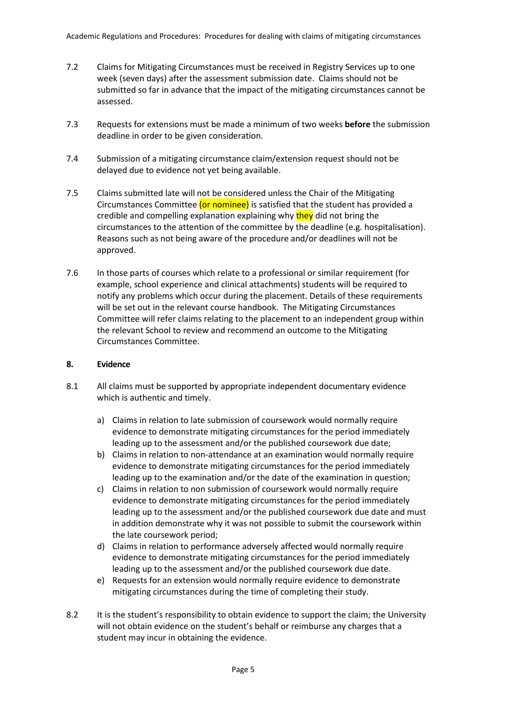- 7.2 Claims for Mitigating Circumstances must be received in Registry Services up to one week (seven days) after the assessment submission date. Claims should not be submitted so far in advance that the impact of the mitigating circumstances cannot be assessed.
- 7.3 Requests for extensions must be made a minimum of two weeks **before** the submission deadline in order to be given consideration.
- 7.4 Submission of a mitigating circumstance claim/extension request should not be delayed due to evidence not yet being available.
- 7.5 Claims submitted late will not be considered unless the Chair of the Mitigating Circumstances Committee (or nominee) is satisfied that the student has provided a credible and compelling explanation explaining why they did not bring the circumstances to the attention of the committee by the deadline (e.g. hospitalisation). Reasons such as not being aware of the procedure and/or deadlines will not be approved.
- 7.6 In those parts of courses which relate to a professional or similar requirement (for example, school experience and clinical attachments) students will be required to notify any problems which occur during the placement. Details of these requirements will be set out in the relevant course handbook. The Mitigating Circumstances Committee will refer claims relating to the placement to an independent group within the relevant School to review and recommend an outcome to the Mitigating Circumstances Committee.

# **8. Evidence**

- 8.1 All claims must be supported by appropriate independent documentary evidence which is authentic and timely.
	- a) Claims in relation to late submission of coursework would normally require evidence to demonstrate mitigating circumstances for the period immediately leading up to the assessment and/or the published coursework due date;
	- b) Claims in relation to non-attendance at an examination would normally require evidence to demonstrate mitigating circumstances for the period immediately leading up to the examination and/or the date of the examination in question;
	- c) Claims in relation to non submission of coursework would normally require evidence to demonstrate mitigating circumstances for the period immediately leading up to the assessment and/or the published coursework due date and must in addition demonstrate why it was not possible to submit the coursework within the late coursework period;
	- d) Claims in relation to performance adversely affected would normally require evidence to demonstrate mitigating circumstances for the period immediately leading up to the assessment and/or the published coursework due date.
	- e) Requests for an extension would normally require evidence to demonstrate mitigating circumstances during the time of completing their study.
- 8.2 It is the student's responsibility to obtain evidence to support the claim; the University will not obtain evidence on the student's behalf or reimburse any charges that a student may incur in obtaining the evidence.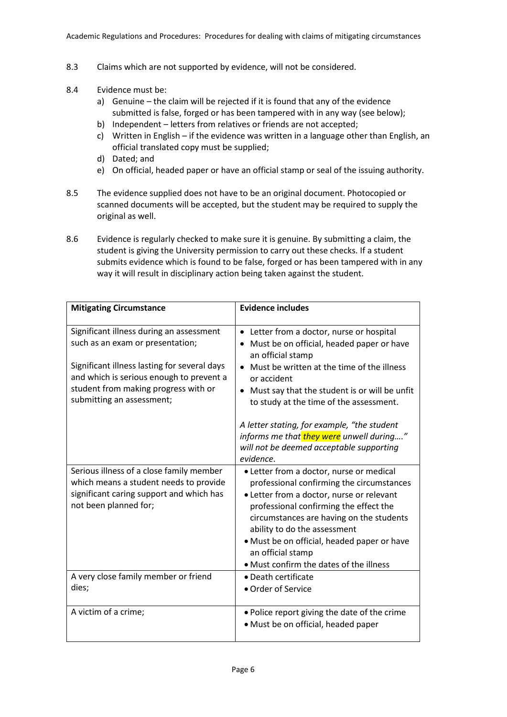- 8.3 Claims which are not supported by evidence, will not be considered.
- 8.4 Evidence must be:
	- a) Genuine the claim will be rejected if it is found that any of the evidence submitted is false, forged or has been tampered with in any way (see below);
	- b) Independent letters from relatives or friends are not accepted;
	- c) Written in English if the evidence was written in a language other than English, an official translated copy must be supplied;
	- d) Dated; and
	- e) On official, headed paper or have an official stamp or seal of the issuing authority.
- 8.5 The evidence supplied does not have to be an original document. Photocopied or scanned documents will be accepted, but the student may be required to supply the original as well.
- 8.6 Evidence is regularly checked to make sure it is genuine. By submitting a claim, the student is giving the University permission to carry out these checks. If a student submits evidence which is found to be false, forged or has been tampered with in any way it will result in disciplinary action being taken against the student.

| <b>Mitigating Circumstance</b>                                                                                                                                                                                                                | <b>Evidence includes</b>                                                                                                                                                                                                                                                                                                                                                                                                 |
|-----------------------------------------------------------------------------------------------------------------------------------------------------------------------------------------------------------------------------------------------|--------------------------------------------------------------------------------------------------------------------------------------------------------------------------------------------------------------------------------------------------------------------------------------------------------------------------------------------------------------------------------------------------------------------------|
| Significant illness during an assessment<br>such as an exam or presentation;<br>Significant illness lasting for several days<br>and which is serious enough to prevent a<br>student from making progress with or<br>submitting an assessment; | Letter from a doctor, nurse or hospital<br>$\bullet$<br>Must be on official, headed paper or have<br>an official stamp<br>Must be written at the time of the illness<br>or accident<br>• Must say that the student is or will be unfit<br>to study at the time of the assessment.<br>A letter stating, for example, "the student<br>informs me that they were unwell during"<br>will not be deemed acceptable supporting |
| Serious illness of a close family member<br>which means a student needs to provide<br>significant caring support and which has<br>not been planned for;                                                                                       | evidence.<br>• Letter from a doctor, nurse or medical<br>professional confirming the circumstances<br>• Letter from a doctor, nurse or relevant<br>professional confirming the effect the<br>circumstances are having on the students<br>ability to do the assessment                                                                                                                                                    |
|                                                                                                                                                                                                                                               | • Must be on official, headed paper or have<br>an official stamp<br>• Must confirm the dates of the illness                                                                                                                                                                                                                                                                                                              |
| A very close family member or friend<br>dies;                                                                                                                                                                                                 | • Death certificate<br>• Order of Service                                                                                                                                                                                                                                                                                                                                                                                |
| A victim of a crime;                                                                                                                                                                                                                          | • Police report giving the date of the crime<br>• Must be on official, headed paper                                                                                                                                                                                                                                                                                                                                      |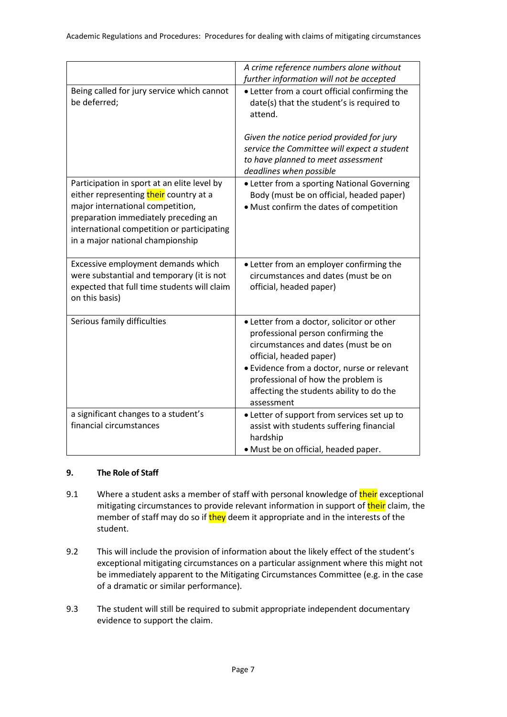|                                                                                                                                                                                                                                                     | A crime reference numbers alone without<br>further information will not be accepted                                                                                                                                                                                                               |
|-----------------------------------------------------------------------------------------------------------------------------------------------------------------------------------------------------------------------------------------------------|---------------------------------------------------------------------------------------------------------------------------------------------------------------------------------------------------------------------------------------------------------------------------------------------------|
| Being called for jury service which cannot<br>be deferred;                                                                                                                                                                                          | • Letter from a court official confirming the<br>date(s) that the student's is required to<br>attend.                                                                                                                                                                                             |
|                                                                                                                                                                                                                                                     | Given the notice period provided for jury<br>service the Committee will expect a student<br>to have planned to meet assessment<br>deadlines when possible                                                                                                                                         |
| Participation in sport at an elite level by<br>either representing their country at a<br>major international competition,<br>preparation immediately preceding an<br>international competition or participating<br>in a major national championship | • Letter from a sporting National Governing<br>Body (must be on official, headed paper)<br>· Must confirm the dates of competition                                                                                                                                                                |
| Excessive employment demands which<br>were substantial and temporary (it is not<br>expected that full time students will claim<br>on this basis)                                                                                                    | • Letter from an employer confirming the<br>circumstances and dates (must be on<br>official, headed paper)                                                                                                                                                                                        |
| Serious family difficulties                                                                                                                                                                                                                         | • Letter from a doctor, solicitor or other<br>professional person confirming the<br>circumstances and dates (must be on<br>official, headed paper)<br>· Evidence from a doctor, nurse or relevant<br>professional of how the problem is<br>affecting the students ability to do the<br>assessment |
| a significant changes to a student's<br>financial circumstances                                                                                                                                                                                     | • Letter of support from services set up to<br>assist with students suffering financial<br>hardship<br>· Must be on official, headed paper.                                                                                                                                                       |

# **9. The Role of Staff**

- 9.1 Where a student asks a member of staff with personal knowledge of their exceptional mitigating circumstances to provide relevant information in support of their claim, the member of staff may do so if they deem it appropriate and in the interests of the student.
- 9.2 This will include the provision of information about the likely effect of the student's exceptional mitigating circumstances on a particular assignment where this might not be immediately apparent to the Mitigating Circumstances Committee (e.g. in the case of a dramatic or similar performance).
- 9.3 The student will still be required to submit appropriate independent documentary evidence to support the claim.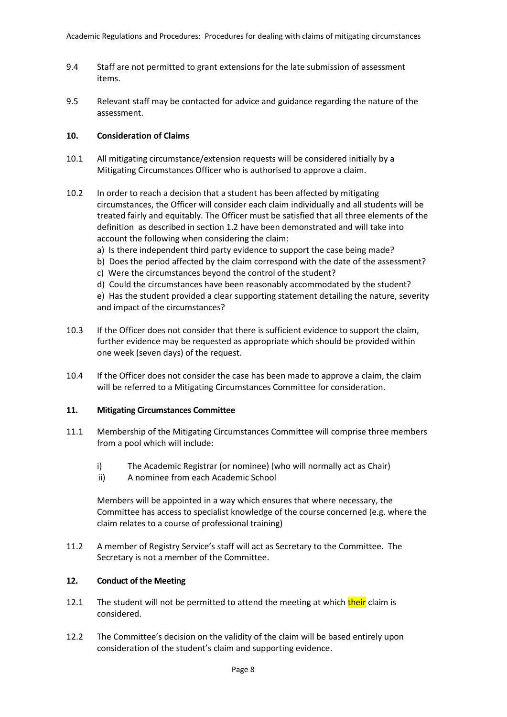- 9.4 Staff are not permitted to grant extensions for the late submission of assessment items.
- 9.5 Relevant staff may be contacted for advice and guidance regarding the nature of the assessment.

# **10. Consideration of Claims**

- 10.1 All mitigating circumstance/extension requests will be considered initially by a Mitigating Circumstances Officer who is authorised to approve a claim.
- 10.2 In order to reach a decision that a student has been affected by mitigating circumstances, the Officer will consider each claim individually and all students will be treated fairly and equitably. The Officer must be satisfied that all three elements of the definition as described in section 1.2 have been demonstrated and will take into account the following when considering the claim:
	- a) Is there independent third party evidence to support the case being made?
	- b) Does the period affected by the claim correspond with the date of the assessment?
	- c) Were the circumstances beyond the control of the student?
	- d) Could the circumstances have been reasonably accommodated by the student?
	- e) Has the student provided a clear supporting statement detailing the nature, severity and impact of the circumstances?
- 10.3 If the Officer does not consider that there is sufficient evidence to support the claim, further evidence may be requested as appropriate which should be provided within one week (seven days) of the request.
- 10.4 If the Officer does not consider the case has been made to approve a claim, the claim will be referred to a Mitigating Circumstances Committee for consideration.

# **11. Mitigating Circumstances Committee**

- 11.1 Membership of the Mitigating Circumstances Committee will comprise three members from a pool which will include:
	- i) The Academic Registrar (or nominee) (who will normally act as Chair)
	- ii) A nominee from each Academic School

Members will be appointed in a way which ensures that where necessary, the Committee has access to specialist knowledge of the course concerned (e.g. where the claim relates to a course of professional training)

11.2 A member of Registry Service's staff will act as Secretary to the Committee. The Secretary is not a member of the Committee.

# **12. Conduct of the Meeting**

- 12.1 The student will not be permitted to attend the meeting at which their claim is considered.
- 12.2 The Committee's decision on the validity of the claim will be based entirely upon consideration of the student's claim and supporting evidence.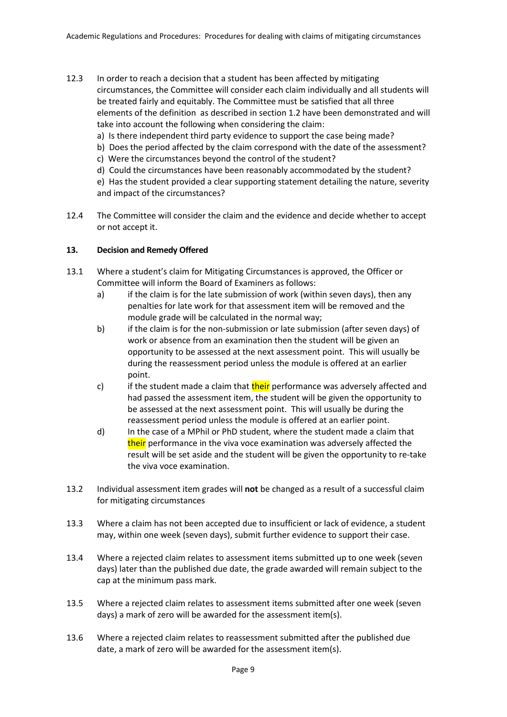- 12.3 In order to reach a decision that a student has been affected by mitigating circumstances, the Committee will consider each claim individually and all students will be treated fairly and equitably. The Committee must be satisfied that all three elements of the definition as described in section 1.2 have been demonstrated and will take into account the following when considering the claim:
	- a) Is there independent third party evidence to support the case being made?
	- b) Does the period affected by the claim correspond with the date of the assessment?
	- c) Were the circumstances beyond the control of the student?
	- d) Could the circumstances have been reasonably accommodated by the student?

e) Has the student provided a clear supporting statement detailing the nature, severity and impact of the circumstances?

12.4 The Committee will consider the claim and the evidence and decide whether to accept or not accept it.

# **13. Decision and Remedy Offered**

- 13.1 Where a student's claim for Mitigating Circumstances is approved, the Officer or Committee will inform the Board of Examiners as follows:
	- a) if the claim is for the late submission of work (within seven days), then any penalties for late work for that assessment item will be removed and the module grade will be calculated in the normal way;
	- b) if the claim is for the non-submission or late submission (after seven days) of work or absence from an examination then the student will be given an opportunity to be assessed at the next assessment point. This will usually be during the reassessment period unless the module is offered at an earlier point.
	- c) if the student made a claim that their performance was adversely affected and had passed the assessment item, the student will be given the opportunity to be assessed at the next assessment point. This will usually be during the reassessment period unless the module is offered at an earlier point.
	- d) In the case of a MPhil or PhD student, where the student made a claim that their performance in the viva voce examination was adversely affected the result will be set aside and the student will be given the opportunity to re-take the viva voce examination.
- 13.2 Individual assessment item grades will **not** be changed as a result of a successful claim for mitigating circumstances
- 13.3 Where a claim has not been accepted due to insufficient or lack of evidence, a student may, within one week (seven days), submit further evidence to support their case.
- 13.4 Where a rejected claim relates to assessment items submitted up to one week (seven days) later than the published due date, the grade awarded will remain subject to the cap at the minimum pass mark.
- 13.5 Where a rejected claim relates to assessment items submitted after one week (seven days) a mark of zero will be awarded for the assessment item(s).
- 13.6 Where a rejected claim relates to reassessment submitted after the published due date, a mark of zero will be awarded for the assessment item(s).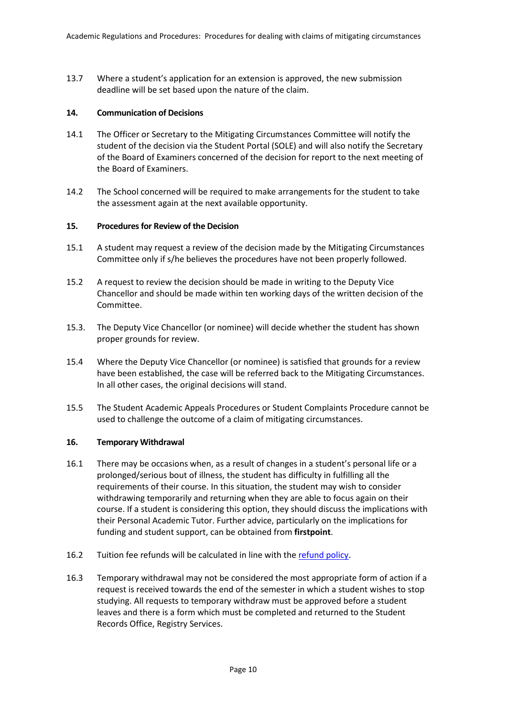13.7 Where a student's application for an extension is approved, the new submission deadline will be set based upon the nature of the claim.

# **14. Communication of Decisions**

- 14.1 The Officer or Secretary to the Mitigating Circumstances Committee will notify the student of the decision via the Student Portal (SOLE) and will also notify the Secretary of the Board of Examiners concerned of the decision for report to the next meeting of the Board of Examiners.
- 14.2 The School concerned will be required to make arrangements for the student to take the assessment again at the next available opportunity.

# **15. Procedures for Review of the Decision**

- 15.1 A student may request a review of the decision made by the Mitigating Circumstances Committee only if s/he believes the procedures have not been properly followed.
- 15.2 A request to review the decision should be made in writing to the Deputy Vice Chancellor and should be made within ten working days of the written decision of the Committee.
- 15.3. The Deputy Vice Chancellor (or nominee) will decide whether the student has shown proper grounds for review.
- 15.4 Where the Deputy Vice Chancellor (or nominee) is satisfied that grounds for a review have been established, the case will be referred back to the Mitigating Circumstances. In all other cases, the original decisions will stand.
- 15.5 The Student Academic Appeals Procedures or Student Complaints Procedure cannot be used to challenge the outcome of a claim of mitigating circumstances.

# **16. Temporary Withdrawal**

- 16.1 There may be occasions when, as a result of changes in a student's personal life or a prolonged/serious bout of illness, the student has difficulty in fulfilling all the requirements of their course. In this situation, the student may wish to consider withdrawing temporarily and returning when they are able to focus again on their course. If a student is considering this option, they should discuss the implications with their Personal Academic Tutor. Further advice, particularly on the implications for funding and student support, can be obtained from **firstpoint**.
- 16.2 Tuition fee refunds will be calculated in line with th[e refund policy.](http://www.worc.ac.uk/finance/documents/Withdrawal_from_the_University_of_Worcester_14-15_-_Document.pdf)
- 16.3 Temporary withdrawal may not be considered the most appropriate form of action if a request is received towards the end of the semester in which a student wishes to stop studying. All requests to temporary withdraw must be approved before a student leaves and there is a form which must be completed and returned to the Student Records Office, Registry Services.